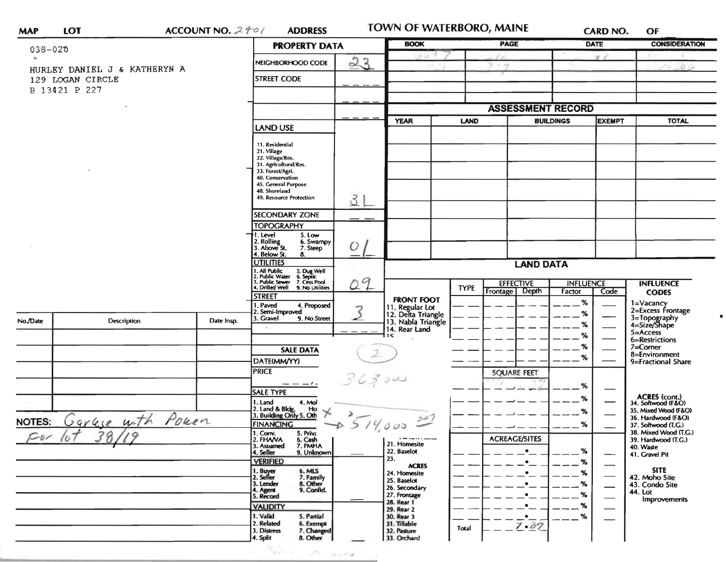| <b>MAP</b> | LOT |
|------------|-----|
|            |     |

ACCOUNT NO.  $2f0/$ **ADDRESS**  TOWN OF WATERBORO, MAINE

**CARD NO.**  $OF$ 

 $\bullet$ 

| $038 - 020$   |                                                                   |                         | <b>PROPERTY DATA</b>                                                                                                                                                                   | <b>BOOK</b>   |                                                             | <b>PAGE</b> | <b>DATE</b>                              | <b>CONSIDERATION</b>              |                                                                |
|---------------|-------------------------------------------------------------------|-------------------------|----------------------------------------------------------------------------------------------------------------------------------------------------------------------------------------|---------------|-------------------------------------------------------------|-------------|------------------------------------------|-----------------------------------|----------------------------------------------------------------|
| $\mathbf{r}$  |                                                                   | 23<br>NEIGHBORHOOD CODE |                                                                                                                                                                                        |               |                                                             | $7 - 7$     | $\mathcal{L}$                            |                                   |                                                                |
|               | HURLEY DANIEL J & KATHERYN A<br>129 LOGAN CIRCLE<br>B 13421 P 227 | <b>STREET CODE</b>      |                                                                                                                                                                                        |               |                                                             |             |                                          | 16 CO G                           |                                                                |
|               |                                                                   |                         |                                                                                                                                                                                        |               |                                                             |             | <b>ASSESSMENT RECORD</b>                 |                                   |                                                                |
|               |                                                                   |                         |                                                                                                                                                                                        |               | <b>YEAR</b>                                                 | <b>LAND</b> |                                          | <b>BUILDINGS</b><br><b>EXEMPT</b> | <b>TOTAL</b>                                                   |
|               |                                                                   |                         | <b>LAND USE</b>                                                                                                                                                                        |               |                                                             |             |                                          |                                   |                                                                |
|               |                                                                   |                         | 11. Residential<br>21. Village<br>22. Village/Res.<br>31. Agricultural/Res.<br>33. Forest/Agri.<br>40. Conservation<br>45. General Purpose<br>48. Shoreland<br>49. Resource Protection | 3'            |                                                             |             |                                          |                                   |                                                                |
|               |                                                                   |                         | <b>SECONDARY ZONE</b>                                                                                                                                                                  |               |                                                             |             |                                          |                                   |                                                                |
|               |                                                                   |                         | <b>TOPOGRAPHY</b><br>1. Level<br>5. Low                                                                                                                                                |               |                                                             |             |                                          |                                   |                                                                |
|               |                                                                   |                         | 2. Rolling<br>3. Above St.<br>6. Swampy<br>7. Steep<br>4. Below St.<br>8.                                                                                                              | $\mathcal{O}$ |                                                             |             |                                          |                                   |                                                                |
|               |                                                                   |                         | <b>UTILITIES</b>                                                                                                                                                                       |               |                                                             |             | <b>LAND DATA</b>                         |                                   |                                                                |
|               |                                                                   |                         | 1. All Public<br>2. Public Water<br>3. Public Sewer<br>4. Drilled Well<br>5. Dug Well<br>6. Septic<br>7. Cess Pool                                                                     | 09            |                                                             |             | <b>EFFECTIVE</b>                         | <b>INFLUENCE</b>                  | <b>INFLUENCE</b>                                               |
|               |                                                                   |                         | 9. No Utilities<br>STREET                                                                                                                                                              |               | <b>FRONT FOOT</b>                                           | <b>TYPE</b> | Depth<br>Frontage                        | Factor<br>Code                    | <b>CODES</b>                                                   |
| No./Date      | Description                                                       | Date Insp.              | 1. Paved<br>4. Proposed<br>2. Semi-Improved<br>3. Gravel<br>9. No Street                                                                                                               |               | 11. Regular Lot<br>12. Delta Triangle<br>13. Nabla Triangle |             |                                          | %<br>%<br>$\%$                    | 1=Vacancy<br>2=Excess Frontage<br>3=Topography<br>4=Size/Shape |
|               |                                                                   |                         |                                                                                                                                                                                        |               | 14. Rear Land<br>15                                         |             |                                          | %                                 | 5=Access                                                       |
|               |                                                                   |                         | <b>SALE DATA</b>                                                                                                                                                                       |               |                                                             |             |                                          | $\%$                              | 6=Restrictions<br>$7 =$ Corner                                 |
|               |                                                                   |                         | DATE(MM/YY)                                                                                                                                                                            |               |                                                             |             |                                          | $\%$                              | 8=Environment<br>9=Fractional Share                            |
|               |                                                                   |                         | <b>PRICE</b>                                                                                                                                                                           | 36300         |                                                             |             | <b>SQUARE FEET</b>                       |                                   |                                                                |
|               |                                                                   |                         | <b>SALE TYPE</b>                                                                                                                                                                       |               |                                                             |             |                                          | %                                 |                                                                |
|               |                                                                   |                         | 1. Land<br>4. Mol                                                                                                                                                                      |               |                                                             |             |                                          | %                                 | ACRES (cont.)<br>34. Softwood (F&O)                            |
|               | Garage with Power                                                 |                         | 2. Land & Bldg. Ho<br>3. Building Only 5. Oth<br>⊁                                                                                                                                     |               | 207                                                         |             |                                          | $\%$                              | 35. Mixed Wood (F&O)<br>36. Hardwood (F&O)                     |
| <b>NOTES:</b> |                                                                   |                         | <b>FINANCING</b><br>1. Conv.<br>5. Priva                                                                                                                                               | 514000        |                                                             |             |                                          | %                                 | 37. Softwood (T.G.)<br>38. Mixed Wood (T.G.)                   |
| $\sim$ 01     |                                                                   |                         | 2. FHANA<br>6. Cash<br>7. FMHA<br>3. Assumed                                                                                                                                           |               | 21. Homesite                                                |             | <b>ACREAGE/SITES</b>                     |                                   | 39. Hardwood (T.G.)<br>40. Waste                               |
|               |                                                                   |                         | 4. Seller<br>9. Unknown<br><b>VERIFIED</b>                                                                                                                                             |               | 22. Baselot<br>23.                                          |             | ٠                                        | ℅<br>%                            | 41. Gravel Pit                                                 |
|               |                                                                   |                         | 1. Buyer<br>2. Seller<br>6. MLS                                                                                                                                                        |               | <b>ACRES</b><br>24. Homesite                                |             | $\bullet$                                | %                                 | <b>SITE</b>                                                    |
|               |                                                                   |                         | 7. Family<br>8. Other<br>3. Lender                                                                                                                                                     |               | 25. Baselot<br>26. Secondary                                |             | $\bullet$                                | %                                 | 42. Moho Site<br>43. Condo Site                                |
|               |                                                                   |                         | 9. Confid.<br>4. Agent<br>5. Record                                                                                                                                                    |               | 27. Frontage                                                |             | $\bullet$                                | %                                 | 44. Lot<br>Improvements                                        |
|               |                                                                   |                         | <b>VALIDITY</b>                                                                                                                                                                        |               | 28. Rear 1<br>29. Rear 2                                    |             | $\bullet$                                | %                                 |                                                                |
|               |                                                                   |                         | 1. Valid<br>5. Partial<br>2. Related<br>6. Exempt<br>3. Distress<br>7. Changed<br>4. Split<br>8. Other                                                                                 |               | 30. Rear 3<br>31. Tillable<br>32. Pasture<br>33. Orchard    | Total       | $\cdot$ $\overline{\phantom{a}}$<br>7.07 | $\%$                              |                                                                |

 $\sim$   $^{-3}$